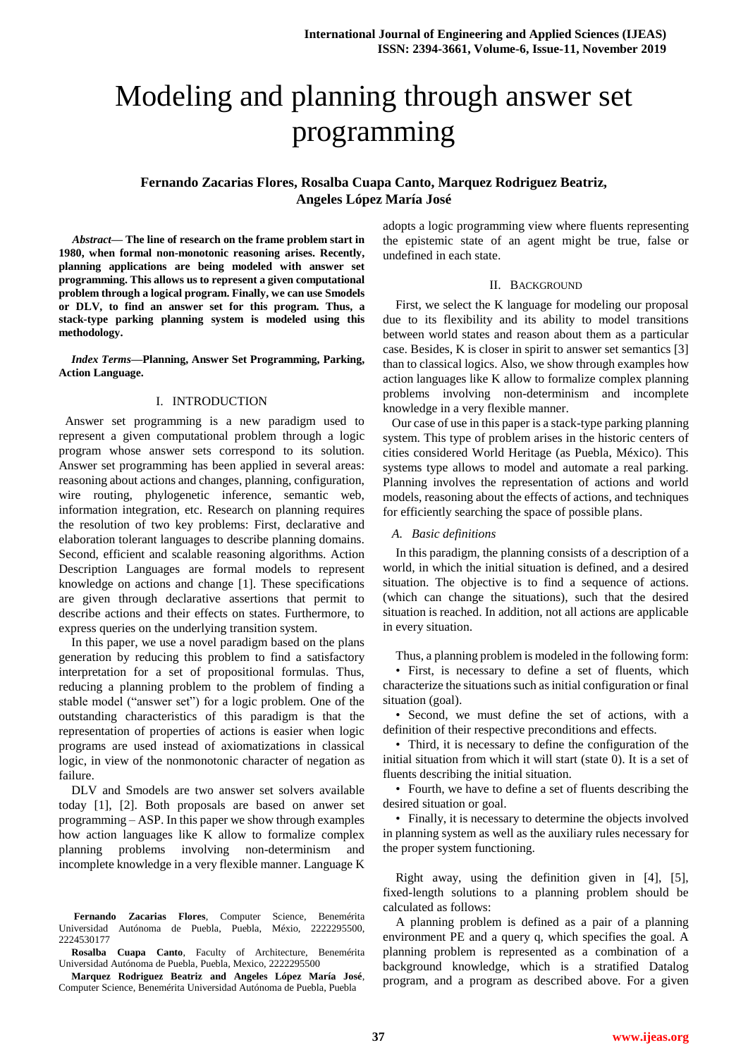# Modeling and planning through answer set programming

# **Fernando Zacarias Flores, Rosalba Cuapa Canto, Marquez Rodriguez Beatriz, Angeles López María José**

*Abstract***— The line of research on the frame problem start in 1980, when formal non-monotonic reasoning arises. Recently, planning applications are being modeled with answer set programming. This allows us to represent a given computational problem through a logical program. Finally, we can use Smodels or DLV, to find an answer set for this program. Thus, a stack-type parking planning system is modeled using this methodology.**

*Index Terms***—Planning, Answer Set Programming, Parking, Action Language.** 

#### I. INTRODUCTION

 Answer set programming is a new paradigm used to represent a given computational problem through a logic program whose answer sets correspond to its solution. Answer set programming has been applied in several areas: reasoning about actions and changes, planning, configuration, wire routing, phylogenetic inference, semantic web, information integration, etc. Research on planning requires the resolution of two key problems: First, declarative and elaboration tolerant languages to describe planning domains. Second, efficient and scalable reasoning algorithms. Action Description Languages are formal models to represent knowledge on actions and change [1]. These specifications are given through declarative assertions that permit to describe actions and their effects on states. Furthermore, to express queries on the underlying transition system.

In this paper, we use a novel paradigm based on the plans generation by reducing this problem to find a satisfactory interpretation for a set of propositional formulas. Thus, reducing a planning problem to the problem of finding a stable model ("answer set") for a logic problem. One of the outstanding characteristics of this paradigm is that the representation of properties of actions is easier when logic programs are used instead of axiomatizations in classical logic, in view of the nonmonotonic character of negation as failure.

DLV and Smodels are two answer set solvers available today [1], [2]. Both proposals are based on anwer set programming – ASP. In this paper we show through examples how action languages like K allow to formalize complex planning problems involving non-determinism and incomplete knowledge in a very flexible manner. Language K

**Fernando Zacarias Flores**, Computer Science, Benemérita Universidad Autónoma de Puebla, Puebla, Méxio, 2222295500, 2224530177

**Rosalba Cuapa Canto**, Faculty of Architecture, Benemérita Universidad Autónoma de Puebla, Puebla, Mexico, 2222295500

**Marquez Rodriguez Beatriz and Angeles López María José**, Computer Science, Benemérita Universidad Autónoma de Puebla, Puebla

adopts a logic programming view where fluents representing the epistemic state of an agent might be true, false or undefined in each state.

### II. BACKGROUND

First, we select the K language for modeling our proposal due to its flexibility and its ability to model transitions between world states and reason about them as a particular case. Besides, K is closer in spirit to answer set semantics [3] than to classical logics. Also, we show through examples how action languages like K allow to formalize complex planning problems involving non-determinism and incomplete knowledge in a very flexible manner.

Our case of use in this paper is a stack-type parking planning system. This type of problem arises in the historic centers of cities considered World Heritage (as Puebla, México). This systems type allows to model and automate a real parking. Planning involves the representation of actions and world models, reasoning about the effects of actions, and techniques for efficiently searching the space of possible plans.

#### *A. Basic definitions*

In this paradigm, the planning consists of a description of a world, in which the initial situation is defined, and a desired situation. The objective is to find a sequence of actions. (which can change the situations), such that the desired situation is reached. In addition, not all actions are applicable in every situation.

Thus, a planning problem is modeled in the following form:

• First, is necessary to define a set of fluents, which characterize the situations such as initial configuration or final situation (goal).

• Second, we must define the set of actions, with a definition of their respective preconditions and effects.

• Third, it is necessary to define the configuration of the initial situation from which it will start (state 0). It is a set of fluents describing the initial situation.

• Fourth, we have to define a set of fluents describing the desired situation or goal.

• Finally, it is necessary to determine the objects involved in planning system as well as the auxiliary rules necessary for the proper system functioning.

Right away, using the definition given in [4], [5], fixed-length solutions to a planning problem should be calculated as follows:

A planning problem is defined as a pair of a planning environment PE and a query q, which specifies the goal. A planning problem is represented as a combination of a background knowledge, which is a stratified Datalog program, and a program as described above. For a given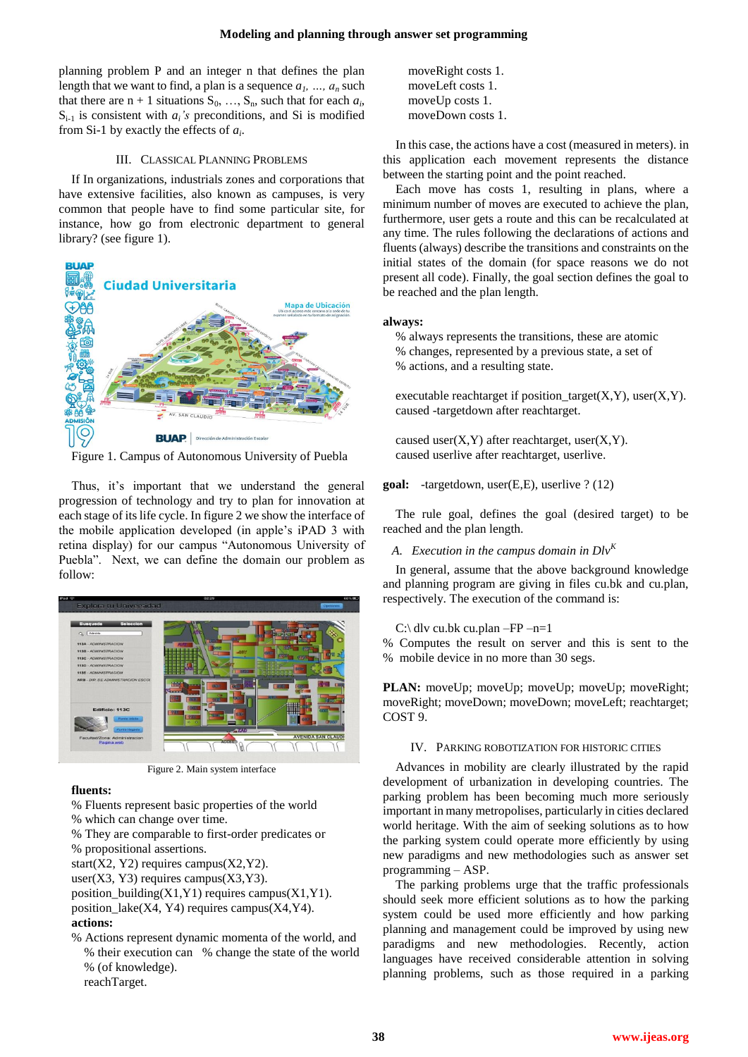planning problem P and an integer n that defines the plan length that we want to find, a plan is a sequence  $a_1$ , ...,  $a_n$  such that there are  $n + 1$  situations  $S_0, \ldots, S_n$ , such that for each  $a_i$ ,  $S_{i-1}$  is consistent with  $a_i$ 's preconditions, and Si is modified from Si-1 by exactly the effects of *a<sup>i</sup>* .

## III. CLASSICAL PLANNING PROBLEMS

If In organizations, industrials zones and corporations that have extensive facilities, also known as campuses, is very common that people have to find some particular site, for instance, how go from electronic department to general library? (see figure 1).



Figure 1. Campus of Autonomous University of Puebla

Thus, it's important that we understand the general progression of technology and try to plan for innovation at each stage of its life cycle. In figure 2 we show the interface of the mobile application developed (in apple's iPAD 3 with retina display) for our campus "Autonomous University of Puebla". Next, we can define the domain our problem as follow:



Figure 2. Main system interface

# **fluents:**

- % Fluents represent basic properties of the world
- % which can change over time.
- % They are comparable to first-order predicates or
- % propositional assertions.

start(X2, Y2) requires campus(X2, Y2).

user(X3, Y3) requires campus(X3, Y3).

position\_building(X1,Y1) requires campus(X1,Y1).

position  $lake(X4, Y4)$  requires campus(X4,Y4). **actions:**

% Actions represent dynamic momenta of the world, and % their execution can % change the state of the world % (of knowledge). reachTarget.

moveRight costs 1. moveLeft costs 1. moveUp costs 1. moveDown costs 1.

In this case, the actions have a cost (measured in meters). in this application each movement represents the distance between the starting point and the point reached.

Each move has costs 1, resulting in plans, where a minimum number of moves are executed to achieve the plan, furthermore, user gets a route and this can be recalculated at any time. The rules following the declarations of actions and fluents (always) describe the transitions and constraints on the initial states of the domain (for space reasons we do not present all code). Finally, the goal section defines the goal to be reached and the plan length.

## **always:**

% always represents the transitions, these are atomic % changes, represented by a previous state, a set of % actions, and a resulting state.

executable reachtarget if position\_target $(X, Y)$ , user $(X, Y)$ . caused -targetdown after reachtarget.

caused user $(X, Y)$  after reachtarget, user $(X, Y)$ . caused userlive after reachtarget, userlive.

## **goal:** -targetdown, user(E,E), userlive ? (12)

The rule goal, defines the goal (desired target) to be reached and the plan length.

# *A. Execution in the campus domain in Dlv<sup>K</sup>*

In general, assume that the above background knowledge and planning program are giving in files cu.bk and cu.plan, respectively. The execution of the command is:

# C:\ dlv cu.bk cu.plan –FP –n=1

% Computes the result on server and this is sent to the % mobile device in no more than 30 segs.

PLAN: moveUp; moveUp; moveUp; moveUp; moveRight; moveRight; moveDown; moveDown; moveLeft; reachtarget; COST 9.

## IV. PARKING ROBOTIZATION FOR HISTORIC CITIES

Advances in mobility are clearly illustrated by the rapid development of urbanization in developing countries. The parking problem has been becoming much more seriously important in many metropolises, particularly in cities declared world heritage. With the aim of seeking solutions as to how the parking system could operate more efficiently by using new paradigms and new methodologies such as answer set programming – ASP.

The parking problems urge that the traffic professionals should seek more efficient solutions as to how the parking system could be used more efficiently and how parking planning and management could be improved by using new paradigms and new methodologies. Recently, action languages have received considerable attention in solving planning problems, such as those required in a parking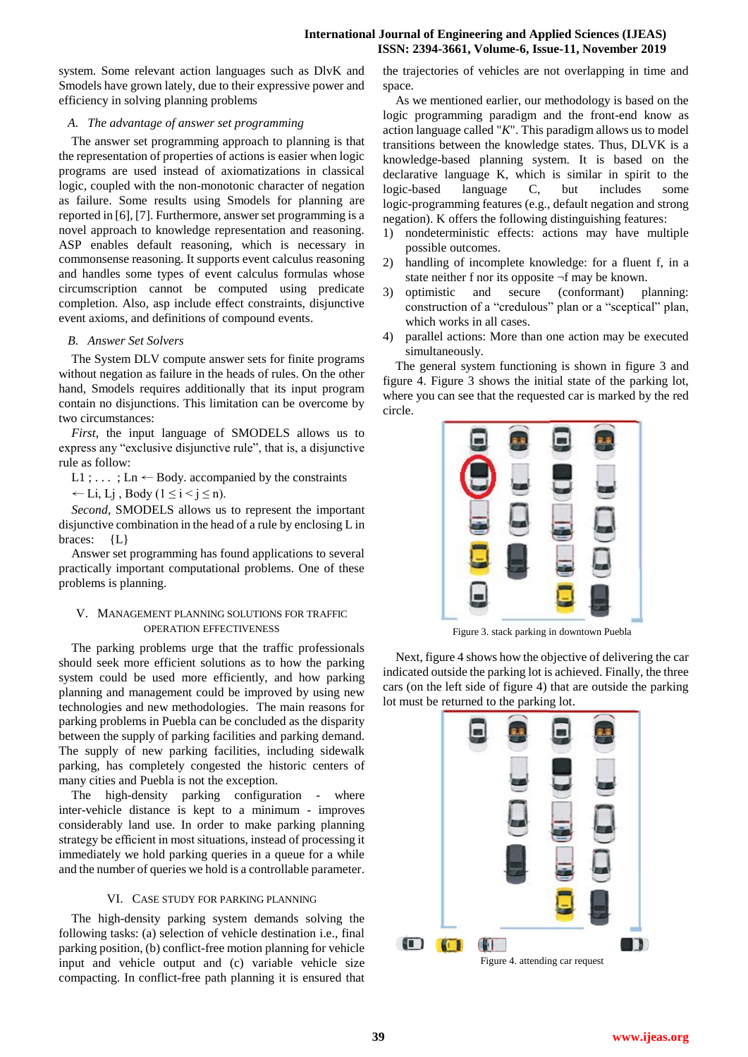system. Some relevant action languages such as DlvK and Smodels have grown lately, due to their expressive power and efficiency in solving planning problems

# *A. The advantage of answer set programming*

The answer set programming approach to planning is that the representation of properties of actions is easier when logic programs are used instead of axiomatizations in classical logic, coupled with the non-monotonic character of negation as failure. Some results using Smodels for planning are reported in [6], [7]. Furthermore, answer set programming is a novel approach to knowledge representation and reasoning. ASP enables default reasoning, which is necessary in commonsense reasoning. It supports event calculus reasoning and handles some types of event calculus formulas whose circumscription cannot be computed using predicate completion. Also, asp include effect constraints, disjunctive event axioms, and definitions of compound events.

## *B. Answer Set Solvers*

The System DLV compute answer sets for finite programs without negation as failure in the heads of rules. On the other hand, Smodels requires additionally that its input program contain no disjunctions. This limitation can be overcome by two circumstances:

*First*, the input language of SMODELS allows us to express any "exclusive disjunctive rule", that is, a disjunctive rule as follow:

L1 ; ... ; Ln  $\leftarrow$  Body. accompanied by the constraints

← Li, Lj, Body ( $1 \le i \le j \le n$ ).

*Second*, SMODELS allows us to represent the important disjunctive combination in the head of a rule by enclosing L in braces: {L}

Answer set programming has found applications to several practically important computational problems. One of these problems is planning.

# V. MANAGEMENT PLANNING SOLUTIONS FOR TRAFFIC OPERATION EFFECTIVENESS

The parking problems urge that the traffic professionals should seek more efficient solutions as to how the parking system could be used more efficiently, and how parking planning and management could be improved by using new technologies and new methodologies. The main reasons for parking problems in Puebla can be concluded as the disparity between the supply of parking facilities and parking demand. The supply of new parking facilities, including sidewalk parking, has completely congested the historic centers of many cities and Puebla is not the exception.

The high-density parking configuration - where inter-vehicle distance is kept to a minimum - improves considerably land use. In order to make parking planning strategy be efficient in most situations, instead of processing it immediately we hold parking queries in a queue for a while and the number of queries we hold is a controllable parameter.

# VI. CASE STUDY FOR PARKING PLANNING

The high-density parking system demands solving the following tasks: (a) selection of vehicle destination i.e., final parking position, (b) conflict-free motion planning for vehicle input and vehicle output and (c) variable vehicle size compacting. In conflict-free path planning it is ensured that

the trajectories of vehicles are not overlapping in time and space.

As we mentioned earlier, our methodology is based on the logic programming paradigm and the front-end know as action language called "*K*". This paradigm allows us to model transitions between the knowledge states. Thus, DLVK is a knowledge-based planning system. It is based on the declarative language K, which is similar in spirit to the logic-based language C, but includes some logic-programming features (e.g., default negation and strong negation). K offers the following distinguishing features:

- 1) nondeterministic effects: actions may have multiple possible outcomes.
- 2) handling of incomplete knowledge: for a fluent f, in a state neither f nor its opposite ¬f may be known.
- 3) optimistic and secure (conformant) planning: construction of a "credulous" plan or a "sceptical" plan, which works in all cases.
- 4) parallel actions: More than one action may be executed simultaneously.

The general system functioning is shown in figure 3 and figure 4. Figure 3 shows the initial state of the parking lot, where you can see that the requested car is marked by the red circle.



Figure 3. stack parking in downtown Puebla

Next, figure 4 shows how the objective of delivering the car indicated outside the parking lot is achieved. Finally, the three cars (on the left side of figure 4) that are outside the parking lot must be returned to the parking lot.



Figure 4. attending car request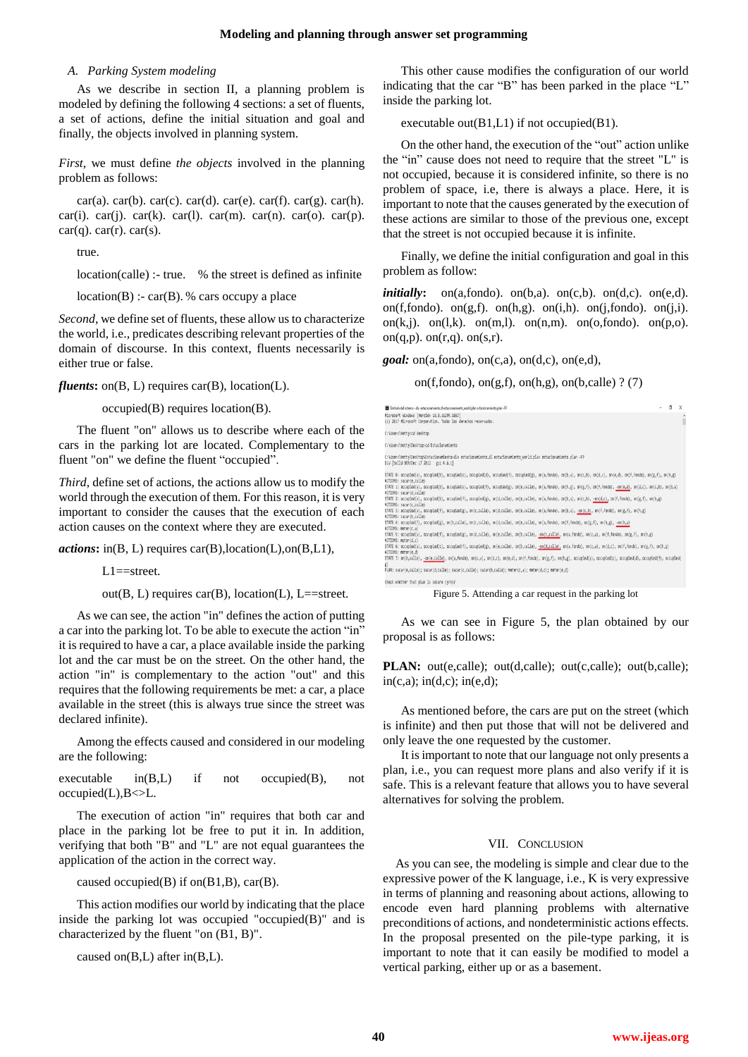#### **Modeling and planning through answer set programming**

### *A. Parking System modeling*

As we describe in section II, a planning problem is modeled by defining the following 4 sections: a set of fluents, a set of actions, define the initial situation and goal and finally, the objects involved in planning system.

*First*, we must define *the objects* involved in the planning problem as follows:

car(a). car(b). car(c). car(d). car(e). car(f). car(g). car(h). car(i). car(j). car(k). car(l). car(m). car(n). car(o). car(p).  $car(q)$ .  $car(r)$ .  $car(s)$ .

true.

location(calle) :- true. % the street is defined as infinite

 $location(B)$ : - car(B). % cars occupy a place

*Second*, we define set of fluents, these allow us to characterize the world, i.e., predicates describing relevant properties of the domain of discourse. In this context, fluents necessarily is either true or false.

*fluents***:** on(B, L) requires car(B), location(L).

occupied(B) requires location(B).

The fluent "on" allows us to describe where each of the cars in the parking lot are located. Complementary to the fluent "on" we define the fluent "occupied".

*Third*, define set of actions, the actions allow us to modify the world through the execution of them. For this reason, it is very important to consider the causes that the execution of each action causes on the context where they are executed.

*actions***:** in(B, L) requires car(B),location(L),on(B,L1),

L1==street.

out( $B, L$ ) requires car( $B$ ), location( $L$ ), L==street.

As we can see, the action "in" defines the action of putting a car into the parking lot. To be able to execute the action "in" it is required to have a car, a place available inside the parking lot and the car must be on the street. On the other hand, the action "in" is complementary to the action "out" and this requires that the following requirements be met: a car, a place available in the street (this is always true since the street was declared infinite).

Among the effects caused and considered in our modeling are the following:

executable in(B,L) if not occupied(B), not  $occu$ pied(L), $B \ll L$ .

The execution of action "in" requires that both car and place in the parking lot be free to put it in. In addition, verifying that both "B" and "L" are not equal guarantees the application of the action in the correct way.

caused occupied(B) if on $(B1,B)$ , car $(B)$ .

This action modifies our world by indicating that the place inside the parking lot was occupied "occupied $(B)$ " and is characterized by the fluent "on (B1, B)".

caused on(B,L) after in(B,L).

This other cause modifies the configuration of our world indicating that the car "B" has been parked in the place "L" inside the parking lot.

executable out( $B1,L1$ ) if not occupied( $B1$ ).

On the other hand, the execution of the "out" action unlike the "in" cause does not need to require that the street "L" is not occupied, because it is considered infinite, so there is no problem of space, i.e, there is always a place. Here, it is important to note that the causes generated by the execution of these actions are similar to those of the previous one, except that the street is not occupied because it is infinite.

Finally, we define the initial configuration and goal in this problem as follow:

*initially*: on(a,fondo). on(b,a). on(c,b). on(d,c). on(e,d). on(f,fondo). on(g,f). on(h,g). on(i,h). on(j,fondo). on(j,i). on(k,j). on(l,k). on(m,l). on(n,m). on(o,fondo). on(p,o). on $(q,p)$ . on $(r,q)$ . on $(s,r)$ .

*goal:* on(a,fondo), on(c,a), on(d,c), on(e,d),

on(f,fondo), on(g,f), on(h,g), on(b,calle) ? (7)

| The first old sixtema - div estacionamiento di estacionamiento world plan estacionamiento plan -FP                                                                                                                             | f. |   |
|--------------------------------------------------------------------------------------------------------------------------------------------------------------------------------------------------------------------------------|----|---|
| Microsoft Windows (Versión 18.0.16299.1087)<br>(c) 2017 Microsoft Corporation, Todos los derechos reservados.                                                                                                                  |    | ٨ |
| C:\Users\betty>cd desktop                                                                                                                                                                                                      |    |   |
| C:\Users\bettv\Desktop>cd Estacionamiento                                                                                                                                                                                      |    |   |
| C:\Users\betty\Desktop\Estacionamiento>dly estacionamiento.dl estacionamiento world.plan estacionamiento.plan -FP<br>DLV [build BEN/Dec 17 2012 gcc 4.6.1]                                                                     |    |   |
| STATE 0: accupied(a), accupied(b), accupied(c), accupied(d), accupied(f), accupied(g), an(a,fanda), an(b,a), an(c,b), an(d,c), an(e,d), an(f,fanda), an(g,f), an(h,g)<br>ACTIONS: sacar(e.calle)                               |    |   |
| STATE 1: accupied(a), accupied(b), accupied(c), accupied(f), accupied(g), an(e,calle), an(a,fando), an(h,g), an(g,f), an(f,fanda), -an(e,d), an(d,c), an(c,b), an(b,a)<br>ACTIONS: sacar(d,calle)                              |    |   |
| STATE 2: accupied(a), accupied(b), accupied(f), accupied(g), an(d,calle), an(e,calle), an(a,fando), an(b,a), an(c,b), -an(d,c), an(f,fanda), an(g,f), an(h,g)<br>ACTIONS: sacar(c,calle)                                       |    |   |
| STATE 3: accupied(a), accupied(f), accupied(g), an(c,calle), an(d,calle), an(e,calle), an(a,fando), an(b,a), -an(c,b), an(f,fanda), an(g,f), an(h,g)<br>ACTIONS: sacar(b.calle)                                                |    |   |
| STATE 4: accupied(f), accupied(g), an(b,calle), an(c,calle), an(d,calle), an(e,calle), an(a,fando), an(f,fando), an(g,f), an(h,g), -an(b,a)<br>ACTIONS: meter(c,a)                                                             |    |   |
| STATE 5: accupied(a), accupied(f), accupied(g), an(d,calle), an(e,calle), an(b,calle), -on(c,calle), an(a,fanda), an(c,a), an(f,fanda), an(g,f), an(h,g)<br>ACTIONS: meter(d,c)                                                |    |   |
| STATE 6: occupied(a), occupied(c), occupied(f), occupied(g), on(e,calle), on(b,calle), on(d,calle), on(a,fondo), on(c,a), on(d,c), on(f,fondo), on(g,f), on(h,g)<br>4CTIONS: meter(e.d)                                        |    |   |
| STATE 7: an(b,calle), -an(e,calle), an(a,fondo), an(c,a), an(d,c), an(e,d), an(f,fondo), an(g,f), an(h,g), accupied(a), accupied(c), accupied(d), accupied(f), accupied(f), accupied(f), accupied(f), accupied(f), accupied(f) |    |   |
| PLAN: sacar(e,calle); sacar(d,calle); sacar(c,calle); sacar(b,calle); meter(c,a); meter(d,c); meter(e,d)                                                                                                                       |    |   |
| Check whether that nlan is secure (w/n)?                                                                                                                                                                                       |    |   |

Figure 5. Attending a car request in the parking lot

As we can see in Figure 5, the plan obtained by our proposal is as follows:

**PLAN:** out(e,calle); out(d,calle); out(c,calle); out(b,calle);  $in(c,a);$   $in(d,c);$   $in(e,d);$ 

As mentioned before, the cars are put on the street (which is infinite) and then put those that will not be delivered and only leave the one requested by the customer.

It is important to note that our language not only presents a plan, i.e., you can request more plans and also verify if it is safe. This is a relevant feature that allows you to have several alternatives for solving the problem.

#### VII. CONCLUSION

As you can see, the modeling is simple and clear due to the expressive power of the K language, i.e., K is very expressive in terms of planning and reasoning about actions, allowing to encode even hard planning problems with alternative preconditions of actions, and nondeterministic actions effects. In the proposal presented on the pile-type parking, it is important to note that it can easily be modified to model a vertical parking, either up or as a basement.